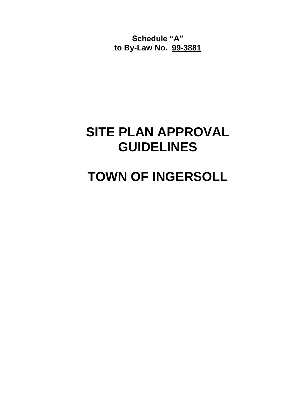**Schedule "A" to By-Law No. 99-3881**

# **SITE PLAN APPROVAL GUIDELINES**

# **TOWN OF INGERSOLL**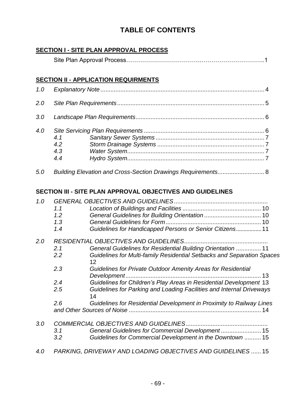# **TABLE OF CONTENTS**

# **SECTION I - SITE PLAN APPROVAL PROCESS**

# **SECTION II - APPLICATION REQUIRMENTS**

| 1.0 |                          |  |  |  |
|-----|--------------------------|--|--|--|
| 2.0 |                          |  |  |  |
| 3.0 |                          |  |  |  |
| 4.0 | 4.1<br>4.2<br>4.3<br>4.4 |  |  |  |
| 5.0 |                          |  |  |  |

# **SECTION III - SITE PLAN APPROVAL OBJECTIVES AND GUIDELINES**

| 1.0 |                                               |                                                                                   |  |  |  |
|-----|-----------------------------------------------|-----------------------------------------------------------------------------------|--|--|--|
|     | 1.1                                           |                                                                                   |  |  |  |
|     | 1.2                                           |                                                                                   |  |  |  |
|     | 1.3                                           |                                                                                   |  |  |  |
|     | 1.4                                           | Guidelines for Handicapped Persons or Senior Citizens 11                          |  |  |  |
| 2.0 | <b>RESIDENTIAL OBJECTIVES AND GUIDELINES.</b> |                                                                                   |  |  |  |
|     | 2.1                                           | General Guidelines for Residential Building Orientation  11                       |  |  |  |
|     | 2.2                                           | Guidelines for Multi-family Residential Setbacks and Separation Spaces<br>12      |  |  |  |
|     | 2.3                                           | Guidelines for Private Outdoor Amenity Areas for Residential<br>Development<br>13 |  |  |  |
|     | 2.4                                           | Guidelines for Children's Play Areas in Residential Development 13                |  |  |  |
|     | 2.5                                           | Guidelines for Parking and Loading Facilities and Internal Driveways<br>14        |  |  |  |
|     | 2.6                                           | Guidelines for Residential Development in Proximity to Railway Lines              |  |  |  |
| 3.0 |                                               |                                                                                   |  |  |  |
|     | 3.1                                           |                                                                                   |  |  |  |
|     | 3.2                                           | Guidelines for Commercial Development in the Downtown  15                         |  |  |  |
| 4.0 |                                               | PARKING, DRIVEWAY AND LOADING OBJECTIVES AND GUIDELINES  15                       |  |  |  |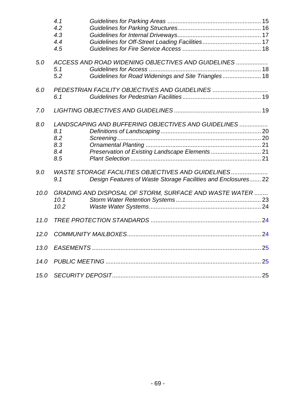|      | 4.1<br>4.2<br>4.3<br>4.4<br>4.5 |                                                                                                                     |  |  |
|------|---------------------------------|---------------------------------------------------------------------------------------------------------------------|--|--|
| 5.0  | 5.1<br>5.2                      | ACCESS AND ROAD WIDENING OBJECTIVES AND GUIDELINES<br>Guidelines for Road Widenings and Site Triangles 18           |  |  |
| 6.0  | 6.1                             | PEDESTRIAN FACILITY OBJECTIVES AND GUIDELINES                                                                       |  |  |
| 7.0  |                                 |                                                                                                                     |  |  |
| 8.0  | 8.1<br>8.2<br>8.3<br>8.4<br>8.5 | LANDSCAPING AND BUFFERING OBJECTIVES AND GUIDELINES                                                                 |  |  |
| 9.0  | 9.1                             | WASTE STORAGE FACILITIES OBJECTIVES AND GUIDELINES<br>Design Features of Waste Storage Facilities and Enclosures 22 |  |  |
| 10.0 | 10.1<br>10.2                    | GRADING AND DISPOSAL OF STORM, SURFACE AND WASTE WATER                                                              |  |  |
| 11.0 |                                 |                                                                                                                     |  |  |
| 12.0 |                                 |                                                                                                                     |  |  |
|      |                                 |                                                                                                                     |  |  |
|      |                                 |                                                                                                                     |  |  |
|      |                                 |                                                                                                                     |  |  |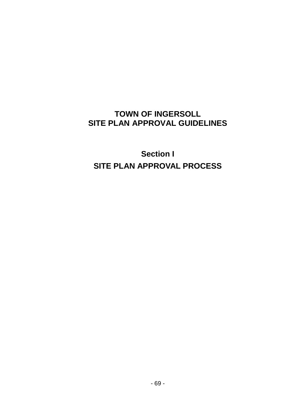# **TOWN OF INGERSOLL SITE PLAN APPROVAL GUIDELINES**

**Section I SITE PLAN APPROVAL PROCESS**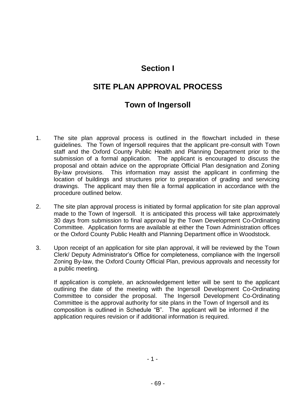# **Section I**

# **SITE PLAN APPROVAL PROCESS**

# **Town of Ingersoll**

- 1. The site plan approval process is outlined in the flowchart included in these guidelines. The Town of Ingersoll requires that the applicant pre-consult with Town staff and the Oxford County Public Health and Planning Department prior to the submission of a formal application. The applicant is encouraged to discuss the proposal and obtain advice on the appropriate Official Plan designation and Zoning By-law provisions. This information may assist the applicant in confirming the location of buildings and structures prior to preparation of grading and servicing drawings. The applicant may then file a formal application in accordance with the procedure outlined below.
- 2. The site plan approval process is initiated by formal application for site plan approval made to the Town of Ingersoll. It is anticipated this process will take approximately 30 days from submission to final approval by the Town Development Co-Ordinating Committee. Application forms are available at either the Town Administration offices or the Oxford County Public Health and Planning Department office in Woodstock.
- 3. Upon receipt of an application for site plan approval, it will be reviewed by the Town Clerk/ Deputy Administrator's Office for completeness, compliance with the Ingersoll Zoning By-law, the Oxford County Official Plan, previous approvals and necessity for a public meeting.

If application is complete, an acknowledgement letter will be sent to the applicant outlining the date of the meeting with the Ingersoll Development Co-Ordinating Committee to consider the proposal. The Ingersoll Development Co-Ordinating Committee is the approval authority for site plans in the Town of Ingersoll and its composition is outlined in Schedule "B". The applicant will be informed if the application requires revision or if additional information is required.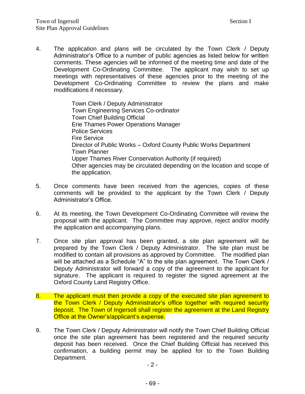4. The application and plans will be circulated by the Town Clerk / Deputy Administrator's Office to a number of public agencies as listed below for written comments. These agencies will be informed of the meeting time and date of the Development Co-Ordinating Committee. The applicant may wish to set up meetings with representatives of these agencies prior to the meeting of the Development Co-Ordinating Committee to review the plans and make modifications if necessary.

> Town Clerk / Deputy Administrator Town Engineering Services Co-ordinator Town Chief Building Official Erie Thames Power Operations Manager Police Services Fire Service Director of Public Works – Oxford County Public Works Department Town Planner Upper Thames River Conservation Authority (if required) Other agencies may be circulated depending on the location and scope of the application.

- 5. Once comments have been received from the agencies, copies of these comments will be provided to the applicant by the Town Clerk / Deputy Administrator's Office.
- 6. At its meeting, the Town Development Co-Ordinating Committee will review the proposal with the applicant. The Committee may approve, reject and/or modify the application and accompanying plans.
- 7. Once site plan approval has been granted, a site plan agreement will be prepared by the Town Clerk / Deputy Administrator. The site plan must be modified to contain all provisions as approved by Committee. The modified plan will be attached as a Schedule "A" to the site plan agreement. The Town Clerk / Deputy Administrator will forward a copy of the agreement to the applicant for signature. The applicant is required to register the signed agreement at the Oxford County Land Registry Office.
- 8. The applicant must then provide a copy of the executed site plan agreement to the Town Clerk / Deputy Administrator's office together with required security deposit. The Town of Ingersoll shall register the agreement at the Land Registry Office at the Owner's/applicant's expense.
- 9. The Town Clerk / Deputy Administrator will notify the Town Chief Building Official once the site plan agreement has been registered and the required security deposit has been received. Once the Chief Building Official has received this confirmation, a building permit may be applied for to the Town Building Department.

 $-2 -$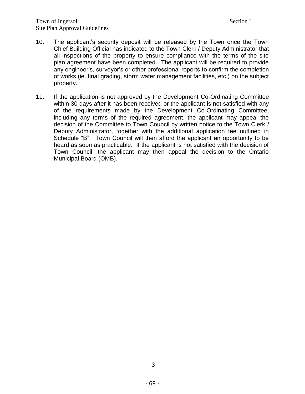- 10. The applicant's security deposit will be released by the Town once the Town Chief Building Official has indicated to the Town Clerk / Deputy Administrator that all inspections of the property to ensure compliance with the terms of the site plan agreement have been completed. The applicant will be required to provide any engineer's, surveyor's or other professional reports to confirm the completion of works (ie. final grading, storm water management facilities, etc.) on the subject property.
- 11. If the application is not approved by the Development Co-Ordinating Committee within 30 days after it has been received or the applicant is not satisfied with any of the requirements made by the Development Co-Ordinating Committee, including any terms of the required agreement, the applicant may appeal the decision of the Committee to Town Council by written notice to the Town Clerk / Deputy Administrator, together with the additional application fee outlined in Schedule "B". Town Council will then afford the applicant an opportunity to be heard as soon as practicable. If the applicant is not satisfied with the decision of Town Council, the applicant may then appeal the decision to the Ontario Municipal Board (OMB).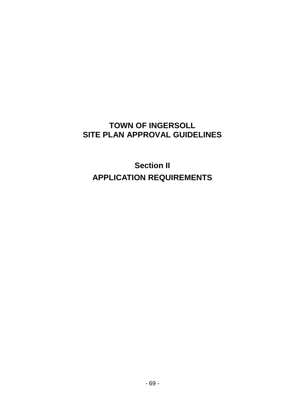# **TOWN OF INGERSOLL SITE PLAN APPROVAL GUIDELINES**

**Section II APPLICATION REQUIREMENTS**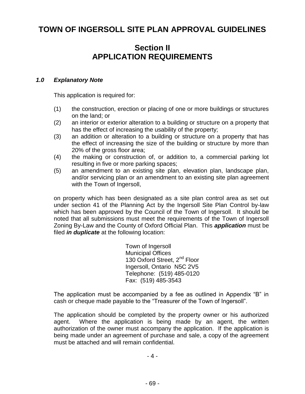# **TOWN OF INGERSOLL SITE PLAN APPROVAL GUIDELINES**

# **Section II APPLICATION REQUIREMENTS**

#### <span id="page-8-0"></span>*1.0 Explanatory Note*

This application is required for:

- (1) the construction, erection or placing of one or more buildings or structures on the land; or
- (2) an interior or exterior alteration to a building or structure on a property that has the effect of increasing the usability of the property;
- (3) an addition or alteration to a building or structure on a property that has the effect of increasing the size of the building or structure by more than 20% of the gross floor area;
- (4) the making or construction of, or addition to, a commercial parking lot resulting in five or more parking spaces;
- (5) an amendment to an existing site plan, elevation plan, landscape plan, and/or servicing plan or an amendment to an existing site plan agreement with the Town of Ingersoll,

on property which has been designated as a site plan control area as set out under section 41 of the Planning Act by the Ingersoll Site Plan Control by-law which has been approved by the Council of the Town of Ingersoll. It should be noted that all submissions must meet the requirements of the Town of Ingersoll Zoning By-Law and the County of Oxford Official Plan. This *application* must be filed *in duplicate* at the following location:

> Town of Ingersoll Municipal Offices 130 Oxford Street, 2<sup>nd</sup> Floor Ingersoll, Ontario N5C 2V5 Telephone: (519) 485-0120 Fax: (519) 485-3543

The application must be accompanied by a fee as outlined in Appendix "B" in cash or cheque made payable to the "Treasurer of the Town of Ingersoll".

The application should be completed by the property owner or his authorized agent. Where the application is being made by an agent, the written authorization of the owner must accompany the application. If the application is being made under an agreement of purchase and sale, a copy of the agreement must be attached and will remain confidential.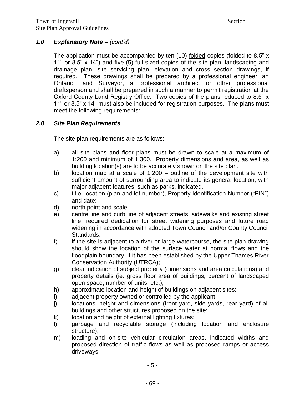# *1.0 Explanatory Note – (cont'd)*

The application must be accompanied by ten (10) folded copies (folded to 8.5" x 11" or 8.5" x 14") and five (5) full sized copies of the site plan, landscaping and drainage plan, site servicing plan, elevation and cross section drawings, if required. These drawings shall be prepared by a professional engineer, an Ontario Land Surveyor, a professional architect or other professional draftsperson and shall be prepared in such a manner to permit registration at the Oxford County Land Registry Office. Two copies of the plans reduced to 8.5" x 11" or 8.5" x 14" must also be included for registration purposes. The plans must meet the following requirements:

#### <span id="page-9-0"></span>*2.0 Site Plan Requirements*

The site plan requirements are as follows:

- a) all site plans and floor plans must be drawn to scale at a maximum of 1:200 and minimum of 1:300. Property dimensions and area, as well as building location(s) are to be accurately shown on the site plan.
- b) location map at a scale of 1:200 outline of the development site with sufficient amount of surrounding area to indicate its general location, with major adjacent features, such as parks, indicated.
- c) title, location (plan and lot number), Property Identification Number ("PIN") and date;
- d) north point and scale;
- e) centre line and curb line of adjacent streets, sidewalks and existing street line; required dedication for street widening purposes and future road widening in accordance with adopted Town Council and/or County Council Standards;
- f) if the site is adjacent to a river or large watercourse, the site plan drawing should show the location of the surface water at normal flows and the floodplain boundary, if it has been established by the Upper Thames River Conservation Authority (UTRCA);
- g) clear indication of subject property (dimensions and area calculations) and property details (ie. gross floor area of buildings, percent of landscaped open space, number of units, etc.);
- h) approximate location and height of buildings on adjacent sites;
- i) adjacent property owned or controlled by the applicant;
- j) locations, height and dimensions (front yard, side yards, rear yard) of all buildings and other structures proposed on the site;
- k) location and height of external lighting fixtures;
- l) garbage and recyclable storage (including location and enclosure structure);
- m) loading and on-site vehicular circulation areas, indicated widths and proposed direction of traffic flows as well as proposed ramps or access driveways;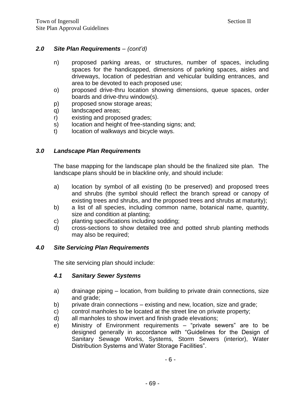#### *2.0 Site Plan Requirements – (cont'd)*

- n) proposed parking areas, or structures, number of spaces, including spaces for the handicapped, dimensions of parking spaces, aisles and driveways, location of pedestrian and vehicular building entrances, and area to be devoted to each proposed use;
- o) proposed drive-thru location showing dimensions, queue spaces, order boards and drive-thru window(s).
- p) proposed snow storage areas;
- q) landscaped areas;
- r) existing and proposed grades;
- s) location and height of free-standing signs; and;
- t) location of walkways and bicycle ways.

#### <span id="page-10-0"></span>*3.0 Landscape Plan Requirements*

The base mapping for the landscape plan should be the finalized site plan. The landscape plans should be in blackline only, and should include:

- a) location by symbol of all existing (to be preserved) and proposed trees and shrubs (the symbol should reflect the branch spread or canopy of existing trees and shrubs, and the proposed trees and shrubs at maturity);
- b) a list of all species, including common name, botanical name, quantity, size and condition at planting;
- c) planting specifications including sodding;
- d) cross-sections to show detailed tree and potted shrub planting methods may also be required;

#### <span id="page-10-1"></span>*4.0 Site Servicing Plan Requirements*

The site servicing plan should include:

#### <span id="page-10-2"></span>*4.1 Sanitary Sewer Systems*

- a) drainage piping location, from building to private drain connections, size and grade;
- b) private drain connections existing and new, location, size and grade;
- c) control manholes to be located at the street line on private property;
- d) all manholes to show invert and finish grade elevations;
- e) Ministry of Environment requirements "private sewers" are to be designed generally in accordance with "Guidelines for the Design of Sanitary Sewage Works, Systems, Storm Sewers (interior), Water Distribution Systems and Water Storage Facilities".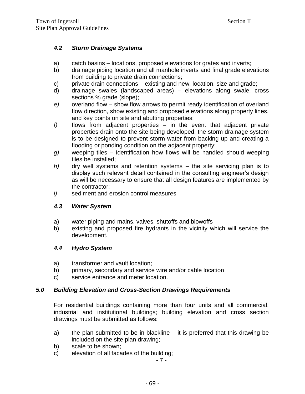## <span id="page-11-0"></span>*4.2 Storm Drainage Systems*

- a) catch basins locations, proposed elevations for grates and inverts;
- b) drainage piping location and all manhole inverts and final grade elevations from building to private drain connections;
- c) private drain connections existing and new, location, size and grade;
- d) drainage swales (landscaped areas) elevations along swale, cross sections % grade (slope);
- *e)* overland flow show flow arrows to permit ready identification of overland flow direction, show existing and proposed elevations along property lines, and key points on site and abutting properties;
- *f)* flows from adjacent properties in the event that adjacent private properties drain onto the site being developed, the storm drainage system is to be designed to prevent storm water from backing up and creating a flooding or ponding condition on the adjacent property;
- *g)* weeping tiles identification how flows will be handled should weeping tiles be installed;
- *h)* dry well systems and retention systems the site servicing plan is to display such relevant detail contained in the consulting engineer's design as will be necessary to ensure that all design features are implemented by the contractor;
- <span id="page-11-1"></span>*i)* sediment and erosion control measures

#### *4.3 Water System*

- a) water piping and mains, valves, shutoffs and blowoffs
- b) existing and proposed fire hydrants in the vicinity which will service the development.

#### <span id="page-11-2"></span>*4.4 Hydro System*

- a) transformer and vault location;
- b) primary, secondary and service wire and/or cable location
- c) service entrance and meter location.

#### <span id="page-11-3"></span>*5.0 Building Elevation and Cross-Section Drawings Requirements*

For residential buildings containing more than four units and all commercial, industrial and institutional buildings; building elevation and cross section drawings must be submitted as follows:

- a) the plan submitted to be in blackline it is preferred that this drawing be included on the site plan drawing;
- b) scale to be shown;
- c) elevation of all facades of the building;

- 7 -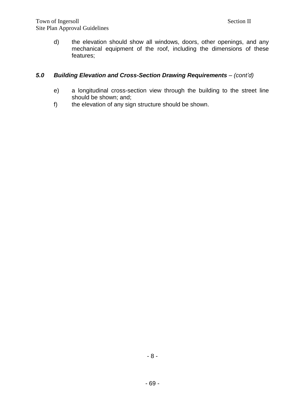d) the elevation should show all windows, doors, other openings, and any mechanical equipment of the roof, including the dimensions of these features;

# *5.0 Building Elevation and Cross-Section Drawing Requirements – (cont'd)*

- e) a longitudinal cross-section view through the building to the street line should be shown; and;
- f) the elevation of any sign structure should be shown.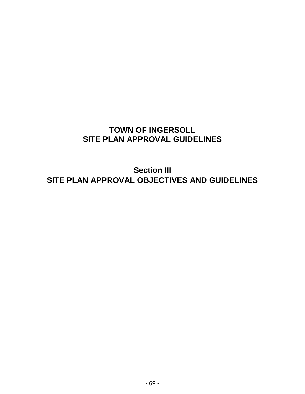# **TOWN OF INGERSOLL SITE PLAN APPROVAL GUIDELINES**

**Section III SITE PLAN APPROVAL OBJECTIVES AND GUIDELINES**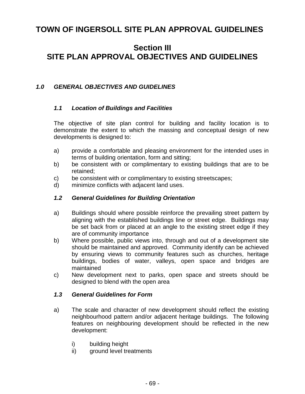# **TOWN OF INGERSOLL SITE PLAN APPROVAL GUIDELINES**

# **Section III SITE PLAN APPROVAL OBJECTIVES AND GUIDELINES**

#### <span id="page-14-1"></span><span id="page-14-0"></span>*1.0 GENERAL OBJECTIVES AND GUIDELINES*

#### *1.1 Location of Buildings and Facilities*

The objective of site plan control for building and facility location is to demonstrate the extent to which the massing and conceptual design of new developments is designed to:

- a) provide a comfortable and pleasing environment for the intended uses in terms of building orientation, form and sitting;
- b) be consistent with or complimentary to existing buildings that are to be retained;
- c) be consistent with or complimentary to existing streetscapes;
- <span id="page-14-2"></span>d) minimize conflicts with adjacent land uses.

#### *1.2 General Guidelines for Building Orientation*

- a) Buildings should where possible reinforce the prevailing street pattern by aligning with the established buildings line or street edge. Buildings may be set back from or placed at an angle to the existing street edge if they are of community importance
- b) Where possible, public views into, through and out of a development site should be maintained and approved. Community identify can be achieved by ensuring views to community features such as churches, heritage buildings, bodies of water, valleys, open space and bridges are maintained
- c) New development next to parks, open space and streets should be designed to blend with the open area

#### <span id="page-14-3"></span>*1.3 General Guidelines for Form*

- a) The scale and character of new development should reflect the existing neighbourhood pattern and/or adjacent heritage buildings. The following features on neighbouring development should be reflected in the new development:
	- i) building height
	- ii) ground level treatments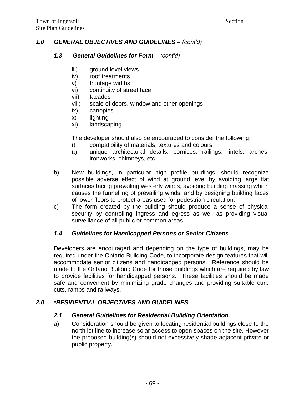# *1.0 GENERAL OBJECTIVES AND GUIDELINES – (cont'd)*

#### *1.3 General Guidelines for Form – (cont'd)*

- iii) ground level views
- iv) roof treatments
- v) frontage widths
- vi) continuity of street face
- vii) facades
- viii) scale of doors, window and other openings
- ix) canopies
- x) lighting
- xi) landscaping

The developer should also be encouraged to consider the following:

- i) compatibility of materials, textures and colours
- ii) unique architectural details, cornices, railings, lintels, arches, ironworks, chimneys, etc.
- b) New buildings, in particular high profile buildings, should recognize possible adverse effect of wind at ground level by avoiding large flat surfaces facing prevailing westerly winds, avoiding building massing which causes the funnelling of prevailing winds, and by designing building faces of lower floors to protect areas used for pedestrian circulation.
- c) The form created by the building should produce a sense of physical security by controlling ingress and egress as well as providing visual surveillance of all public or common areas.

# <span id="page-15-0"></span>*1.4 Guidelines for Handicapped Persons or Senior Citizens*

Developers are encouraged and depending on the type of buildings, may be required under the Ontario Building Code, to incorporate design features that will accommodate senior citizens and handicapped persons. Reference should be made to the Ontario Building Code for those buildings which are required by law to provide facilities for handicapped persons. These facilities should be made safe and convenient by minimizing grade changes and providing suitable curb cuts, ramps and railways.

# <span id="page-15-2"></span><span id="page-15-1"></span>*2.0 \*RESIDENTIAL OBJECTIVES AND GUIDELINES*

#### *2.1 General Guidelines for Residential Building Orientation*

a) Consideration should be given to locating residential buildings close to the north lot line to increase solar access to open spaces on the site. However the proposed building(s) should not excessively shade adjacent private or public property.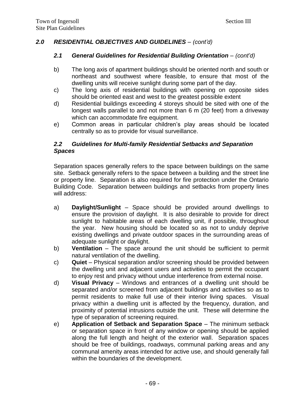# *2.0 RESIDENTIAL OBJECTIVES AND GUIDELINES* – *(cont'd)*

#### *2.1 General Guidelines for Residential Building Orientation – (cont'd)*

- b) The long axis of apartment buildings should be oriented north and south or northeast and southwest where feasible, to ensure that most of the dwelling units will receive sunlight during some part of the day.
- c) The long axis of residential buildings with opening on opposite sides should be oriented east and west to the greatest possible extent
- d) Residential buildings exceeding 4 storeys should be sited with one of the longest walls parallel to and not more than 6 m (20 feet) from a driveway which can accommodate fire equipment.
- e) Common areas in particular children's play areas should be located centrally so as to provide for visual surveillance.

## <span id="page-16-0"></span>*2.2 Guidelines for Multi-family Residential Setbacks and Separation Spaces*

Separation spaces generally refers to the space between buildings on the same site. Setback generally refers to the space between a building and the street line or property line. Separation is also required for fire protection under the Ontario Building Code. Separation between buildings and setbacks from property lines will address:

- a) **Daylight/Sunlight**  Space should be provided around dwellings to ensure the provision of daylight. It is also desirable to provide for direct sunlight to habitable areas of each dwelling unit, if possible, throughout the year. New housing should be located so as not to unduly deprive existing dwellings and private outdoor spaces in the surrounding areas of adequate sunlight or daylight.
- b) **Ventilation**  The space around the unit should be sufficient to permit natural ventilation of the dwelling.
- c) **Quiet** Physical separation and/or screening should be provided between the dwelling unit and adjacent users and activities to permit the occupant to enjoy rest and privacy without undue interference from external noise.
- d) **Visual Privacy**  Windows and entrances of a dwelling unit should be separated and/or screened from adjacent buildings and activities so as to permit residents to make full use of their interior living spaces. Visual privacy within a dwelling unit is affected by the frequency, duration, and proximity of potential intrusions outside the unit. These will determine the type of separation of screening required.
- e) **Application of Setback and Separation Space** The minimum setback or separation space in front of any window or opening should be applied along the full length and height of the exterior wall. Separation spaces should be free of buildings, roadways, communal parking areas and any communal amenity areas intended for active use, and should generally fall within the boundaries of the development.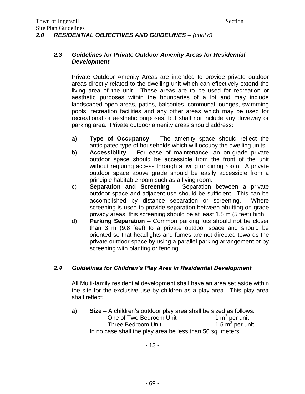## <span id="page-17-0"></span>*2.3 Guidelines for Private Outdoor Amenity Areas for Residential Development*

Private Outdoor Amenity Areas are intended to provide private outdoor areas directly related to the dwelling unit which can effectively extend the living area of the unit. These areas are to be used for recreation or aesthetic purposes within the boundaries of a lot and may include landscaped open areas, patios, balconies, communal lounges, swimming pools, recreation facilities and any other areas which may be used for recreational or aesthetic purposes, but shall not include any driveway or parking area. Private outdoor amenity areas should address:

- a) **Type of Occupancy** The amenity space should reflect the anticipated type of households which will occupy the dwelling units.
- b) **Accessibility** For ease of maintenance, an on-grade private outdoor space should be accessible from the front of the unit without requiring access through a living or dining room. A private outdoor space above grade should be easily accessible from a principle habitable room such as a living room.
- c) **Separation and Screening** Separation between a private outdoor space and adjacent use should be sufficient. This can be accomplished by distance separation or screening. Where screening is used to provide separation between abutting on grade privacy areas, this screening should be at least 1.5 m (5 feet) high.
- d) **Parking Separation**  Common parking lots should not be closer than 3 m (9.8 feet) to a private outdoor space and should be oriented so that headlights and fumes are not directed towards the private outdoor space by using a parallel parking arrangement or by screening with planting or fencing.

# <span id="page-17-1"></span>*2.4 Guidelines for Children's Play Area in Residential Development*

All Multi-family residential development shall have an area set aside within the site for the exclusive use by children as a play area. This play area shall reflect:

a) **Size** – A children's outdoor play area shall be sized as follows: One of Two Bedroom Unit 1  $m<sup>2</sup>$  per unit Three Bedroom Unit 1.5  $m^2$  per unit In no case shall the play area be less than 50 sq. meters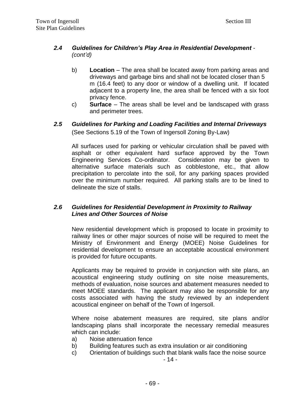# *2.4 Guidelines for Children's Play Area in Residential Development - (cont'd)*

- b) **Location** The area shall be located away from parking areas and driveways and garbage bins and shall not be located closer than 5 m (16.4 feet) to any door or window of a dwelling unit. If located adjacent to a property line, the area shall be fenced with a six foot privacy fence.
- c) **Surface**  The areas shall be level and be landscaped with grass and perimeter trees.
- <span id="page-18-0"></span>*2.5 Guidelines for Parking and Loading Facilities and Internal Driveways* (See Sections 5.19 of the Town of Ingersoll Zoning By-Law)

All surfaces used for parking or vehicular circulation shall be paved with asphalt or other equivalent hard surface approved by the Town Engineering Services Co-ordinator. Consideration may be given to alternative surface materials such as cobblestone, etc., that allow precipitation to percolate into the soil, for any parking spaces provided over the minimum number required. All parking stalls are to be lined to delineate the size of stalls.

#### <span id="page-18-1"></span>*2.6 Guidelines for Residential Development in Proximity to Railway Lines and Other Sources of Noise*

New residential development which is proposed to locate in proximity to railway lines or other major sources of noise will be required to meet the Ministry of Environment and Energy (MOEE) Noise Guidelines for residential development to ensure an acceptable acoustical environment is provided for future occupants.

Applicants may be required to provide in conjunction with site plans, an acoustical engineering study outlining on site noise measurements, methods of evaluation, noise sources and abatement measures needed to meet MOEE standards. The applicant may also be responsible for any costs associated with having the study reviewed by an independent acoustical engineer on behalf of the Town of Ingersoll.

Where noise abatement measures are required, site plans and/or landscaping plans shall incorporate the necessary remedial measures which can include:

- a) Noise attenuation fence
- b) Building features such as extra insulation or air conditioning
- c) Orientation of buildings such that blank walls face the noise source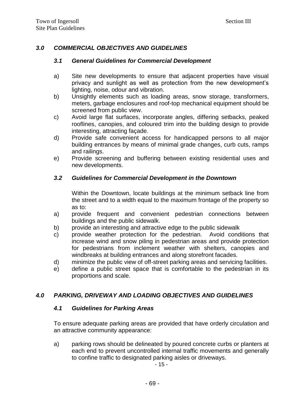# <span id="page-19-1"></span><span id="page-19-0"></span>*3.0 COMMERCIAL OBJECTIVES AND GUIDELINES*

#### *3.1 General Guidelines for Commercial Development*

- a) Site new developments to ensure that adjacent properties have visual privacy and sunlight as well as protection from the new development's lighting, noise, odour and vibration.
- b) Unsightly elements such as loading areas, snow storage, transformers, meters, garbage enclosures and roof-top mechanical equipment should be screened from public view.
- c) Avoid large flat surfaces, incorporate angles, differing setbacks, peaked rooflines, canopies, and coloured trim into the building design to provide interesting, attracting façade.
- d) Provide safe convenient access for handicapped persons to all major building entrances by means of minimal grade changes, curb cuts, ramps and railings.
- e) Provide screening and buffering between existing residential uses and new developments.

#### <span id="page-19-2"></span>*3.2 Guidelines for Commercial Development in the Downtown*

Within the Downtown, locate buildings at the minimum setback line from the street and to a width equal to the maximum frontage of the property so as to:

- a) provide frequent and convenient pedestrian connections between buildings and the public sidewalk.
- b) provide an interesting and attractive edge to the public sidewalk
- c) provide weather protection for the pedestrian. Avoid conditions that increase wind and snow piling in pedestrian areas and provide protection for pedestrians from inclement weather with shelters, canopies and windbreaks at building entrances and along storefront facades.
- d) minimize the public view of off-street parking areas and servicing facilities.
- e) define a public street space that is comfortable to the pedestrian in its proportions and scale.

#### <span id="page-19-4"></span><span id="page-19-3"></span>*4.0 PARKING, DRIVEWAY AND LOADING OBJECTIVES AND GUIDELINES*

#### *4.1 Guidelines for Parking Areas*

To ensure adequate parking areas are provided that have orderly circulation and an attractive community appearance:

a) parking rows should be delineated by poured concrete curbs or planters at each end to prevent uncontrolled internal traffic movements and generally to confine traffic to designated parking aisles or driveways.

- 15 -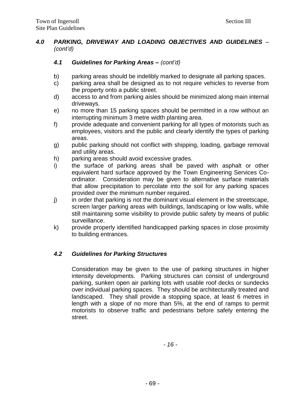# *4.0 PARKING, DRIVEWAY AND LOADING OBJECTIVES AND GUIDELINES – (cont'd)*

# *4.1 Guidelines for Parking Areas – (cont'd)*

- b) parking areas should be indelibly marked to designate all parking spaces.
- c) parking area shall be designed as to not require vehicles to reverse from the property onto a public street.
- d) access to and from parking aisles should be minimized along main internal driveways.
- e) no more than 15 parking spaces should be permitted in a row without an interrupting minimum 3 metre width planting area.
- f) provide adequate and convenient parking for all types of motorists such as employees, visitors and the public and clearly identify the types of parking areas.
- g) public parking should not conflict with shipping, loading, garbage removal and utility areas.
- h) parking areas should avoid excessive grades.
- i) the surface of parking areas shall be paved with asphalt or other equivalent hard surface approved by the Town Engineering Services Coordinator. Consideration may be given to alternative surface materials that allow precipitation to percolate into the soil for any parking spaces provided over the minimum number required.
- j) in order that parking is not the dominant visual element in the streetscape, screen larger parking areas with buildings, landscaping or low walls, while still maintaining some visibility to provide public safety by means of public surveillance.
- k) provide properly identified handicapped parking spaces in close proximity to building entrances.

# <span id="page-20-0"></span>*4.2 Guidelines for Parking Structures*

Consideration may be given to the use of parking structures in higher intensity developments. Parking structures can consist of underground parking, sunken open air parking lots with usable roof decks or sundecks over individual parking spaces. They should be architecturally treated and landscaped. They shall provide a stopping space, at least 6 metres in length with a slope of no more than 5%, at the end of ramps to permit motorists to observe traffic and pedestrians before safely entering the street.

*- 16 -*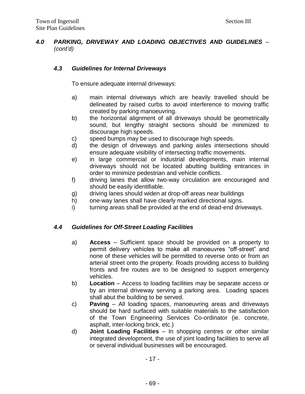# *4.0 PARKING, DRIVEWAY AND LOADING OBJECTIVES AND GUIDELINES – (cont'd)*

# <span id="page-21-0"></span>*4.3 Guidelines for Internal Driveways*

To ensure adequate internal driveways:

- a) main internal driveways which are heavily travelled should be delineated by raised curbs to avoid interference to moving traffic created by parking manoeuvring.
- b) the horizontal alignment of all driveways should be geometrically sound, but lengthy straight sections should be minimized to discourage high speeds.
- c) speed bumps may be used to discourage high speeds.
- d) the design of driveways and parking aisles intersections should ensure adequate visibility of intersecting traffic movements.
- e) in large commercial or industrial developments, main internal driveways should not be located abutting building entrances in order to minimize pedestrian and vehicle conflicts.
- f) driving lanes that allow two-way circulation are encouraged and should be easily identifiable.
- g) driving lanes should widen at drop-off areas near buildings
- h) one-way lanes shall have clearly marked directional signs.
- i) turning areas shall be provided at the end of dead-end driveways.

# <span id="page-21-1"></span>*4.4 Guidelines for Off-Street Loading Facilities*

- a) **Access** Sufficient space should be provided on a property to permit delivery vehicles to make all manoeuvres "off-street" and none of these vehicles will be permitted to reverse onto or from an arterial street onto the property. Roads providing access to building fronts and fire routes are to be designed to support emergency vehicles.
- b) **Location** Access to loading facilities may be separate access or by an internal driveway serving a parking area. Loading spaces shall abut the building to be served.
- c) **Paving** All loading spaces, manoeuvring areas and driveways should be hard surfaced with suitable materials to the satisfaction of the Town Engineering Services Co-ordinator (ie. concrete, asphalt, inter-locking brick, etc.)
- d) **Joint Loading Facilities** In shopping centres or other similar integrated development, the use of joint loading facilities to serve all or several individual businesses will be encouraged.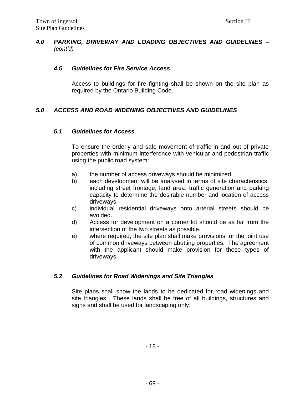# *4.0 PARKING, DRIVEWAY AND LOADING OBJECTIVES AND GUIDELINES – (cont'd)*

## <span id="page-22-0"></span>*4.5 Guidelines for Fire Service Access*

Access to buildings for fire fighting shall be shown on the site plan as required by the Ontario Building Code.

# <span id="page-22-2"></span><span id="page-22-1"></span>*5.0 ACCESS AND ROAD WIDENING OBJECTIVES AND GUIDELINES*

#### *5.1 Guidelines for Access*

To ensure the orderly and safe movement of traffic in and out of private properties with minimum interference with vehicular and pedestrian traffic using the public road system:

- a) the number of access driveways should be minimized.
- b) each development will be analysed in terms of site characteristics, including street frontage, land area, traffic generation and parking capacity to determine the desirable number and location of access driveways.
- c) individual residential driveways onto arterial streets should be avoided.
- d) Access for development on a corner lot should be as far from the intersection of the two streets as possible.
- e) where required, the site plan shall make provisions for the joint use of common driveways between abutting properties. The agreement with the applicant should make provision for these types of driveways.

#### <span id="page-22-3"></span>*5.2 Guidelines for Road Widenings and Site Triangles*

Site plans shall show the lands to be dedicated for road widenings and site triangles. These lands shall be free of all buildings, structures and signs and shall be used for landscaping only.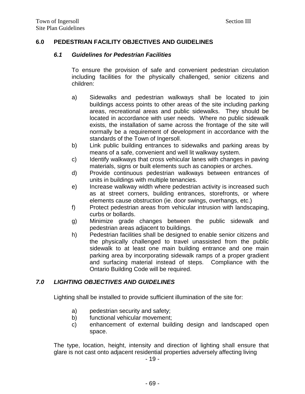## <span id="page-23-1"></span><span id="page-23-0"></span>**6.0 PEDESTRIAN FACILITY OBJECTIVES AND GUIDELINES**

#### *6.1 Guidelines for Pedestrian Facilities*

To ensure the provision of safe and convenient pedestrian circulation including facilities for the physically challenged, senior citizens and children:

- a) Sidewalks and pedestrian walkways shall be located to join buildings access points to other areas of the site including parking areas, recreational areas and public sidewalks. They should be located in accordance with user needs. Where no public sidewalk exists, the installation of same across the frontage of the site will normally be a requirement of development in accordance with the standards of the Town of Ingersoll.
- b) Link public building entrances to sidewalks and parking areas by means of a safe, convenient and well lit walkway system.
- c) Identify walkways that cross vehicular lanes with changes in paving materials, signs or built elements such as canopies or arches.
- d) Provide continuous pedestrian walkways between entrances of units in buildings with multiple tenancies.
- e) Increase walkway width where pedestrian activity is increased such as at street corners, building entrances, storefronts, or where elements cause obstruction (ie. door swings, overhangs, etc.)
- f) Protect pedestrian areas from vehicular intrusion with landscaping, curbs or bollards.
- g) Minimize grade changes between the public sidewalk and pedestrian areas adjacent to buildings.
- h) Pedestrian facilities shall be designed to enable senior citizens and the physically challenged to travel unassisted from the public sidewalk to at least one main building entrance and one main parking area by incorporating sidewalk ramps of a proper gradient and surfacing material instead of steps. Compliance with the Ontario Building Code will be required.

# <span id="page-23-2"></span>*7.0 LIGHTING OBJECTIVES AND GUIDELINES*

Lighting shall be installed to provide sufficient illumination of the site for:

- a) pedestrian security and safety;
- b) functional vehicular movement;
- c) enhancement of external building design and landscaped open space.

The type, location, height, intensity and direction of lighting shall ensure that glare is not cast onto adjacent residential properties adversely affecting living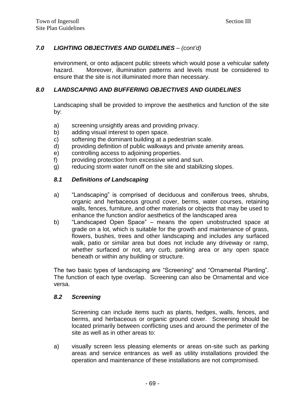# *7.0 LIGHTING OBJECTIVES AND GUIDELINES – (cont'd)*

environment, or onto adjacent public streets which would pose a vehicular safety hazard. Moreover, illumination patterns and levels must be considered to ensure that the site is not illuminated more than necessary.

#### <span id="page-24-0"></span>*8.0 LANDSCAPING AND BUFFERING OBJECTIVES AND GUIDELINES*

Landscaping shall be provided to improve the aesthetics and function of the site by:

- a) screening unsightly areas and providing privacy.
- b) adding visual interest to open space.
- c) softening the dominant building at a pedestrian scale.
- d) providing definition of public walkways and private amenity areas.
- e) controlling access to adjoining properties.
- f) providing protection from excessive wind and sun.
- <span id="page-24-1"></span>g) reducing storm water runoff on the site and stabilizing slopes.

#### *8.1 Definitions of Landscaping*

- a) "Landscaping" is comprised of deciduous and coniferous trees, shrubs, organic and herbaceous ground cover, berms, water courses, retaining walls, fences, furniture, and other materials or objects that may be used to enhance the function and/or aesthetics of the landscaped area
- b) "Landscaped Open Space" means the open unobstructed space at grade on a lot, which is suitable for the growth and maintenance of grass, flowers, bushes, trees and other landscaping and includes any surfaced walk, patio or similar area but does not include any driveway or ramp, whether surfaced or not, any curb, parking area or any open space beneath or within any building or structure.

The two basic types of landscaping are "Screening" and "Ornamental Planting". The function of each type overlap. Screening can also be Ornamental and vice versa.

#### <span id="page-24-2"></span>*8.2 Screening*

Screening can include items such as plants, hedges, walls, fences, and berms, and herbaceous or organic ground cover. Screening should be located primarily between conflicting uses and around the perimeter of the site as well as in other areas to:

a) visually screen less pleasing elements or areas on-site such as parking areas and service entrances as well as utility installations provided the operation and maintenance of these installations are not compromised.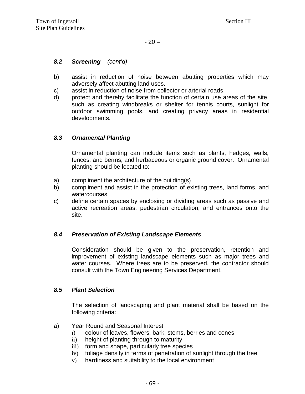#### *8.2 Screening – (cont'd)*

- b) assist in reduction of noise between abutting properties which may adversely affect abutting land uses.
- c) assist in reduction of noise from collector or arterial roads.
- d) protect and thereby facilitate the function of certain use areas of the site, such as creating windbreaks or shelter for tennis courts, sunlight for outdoor swimming pools, and creating privacy areas in residential developments.

#### <span id="page-25-0"></span>*8.3 Ornamental Planting*

Ornamental planting can include items such as plants, hedges, walls, fences, and berms, and herbaceous or organic ground cover. Ornamental planting should be located to:

- a) compliment the architecture of the building(s)
- b) compliment and assist in the protection of existing trees, land forms, and watercourses.
- c) define certain spaces by enclosing or dividing areas such as passive and active recreation areas, pedestrian circulation, and entrances onto the site.

#### <span id="page-25-1"></span>*8.4 Preservation of Existing Landscape Elements*

Consideration should be given to the preservation, retention and improvement of existing landscape elements such as major trees and water courses. Where trees are to be preserved, the contractor should consult with the Town Engineering Services Department.

#### <span id="page-25-2"></span>*8.5 Plant Selection*

The selection of landscaping and plant material shall be based on the following criteria:

- a) Year Round and Seasonal Interest
	- i) colour of leaves, flowers, bark, stems, berries and cones
	- ii) height of planting through to maturity
	- iii) form and shape, particularly tree species
	- iv) foliage density in terms of penetration of sunlight through the tree
	- v) hardiness and suitability to the local environment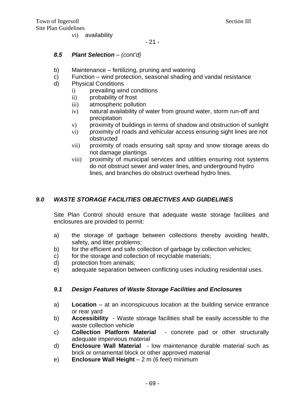vi) availability

- 21 -

#### *8.5 Plant Selection – (cont'd)*

- b) Maintenance fertilizing, pruning and watering
- c) Function wind protection, seasonal shading and vandal resistance
- d) Physical Conditions
	- i) prevailing wind conditions
	- ii) probability of frost
	- iii) atmospheric pollution
	- iv) natural availability of water from ground water, storm run-off and precipitation
	- v) proximity of buildings in terms of shadow and obstruction of sunlight
	- vi) proximity of roads and vehicular access ensuring sight lines are not obstructed
	- vii) proximity of roads ensuring salt spray and snow storage areas do not damage plantings
	- viii) proximity of municipal services and utilities ensuring root systems do not obstruct sewer and water lines, and underground hydro lines, and branches do obstruct overhead hydro lines.

# <span id="page-26-0"></span>*9.0 WASTE STORAGE FACILITIES OBJECTIVES AND GUIDELINES*

Site Plan Control should ensure that adequate waste storage facilities and enclosures are provided to permit:

- a) the storage of garbage between collections thereby avoiding health, safety, and litter problems;
- b) for the efficient and safe collection of garbage by collection vehicles;
- c) for the storage and collection of recyclable materials;
- d) protection from animals;
- e) adequate separation between conflicting uses including residential uses.

# <span id="page-26-1"></span>*9.1 Design Features of Waste Storage Facilities and Enclosures*

- a) **Location** at an inconspicuous location at the building service entrance or rear yard
- b) **Accessibility**  Waste storage facilities shall be easily accessible to the waste collection vehicle
- c) **Collection Platform Material**  concrete pad or other structurally adequate impervious material
- d) **Enclosure Wall Material**  low maintenance durable material such as brick or ornamental block or other approved material
- e) **Enclosure Wall Height**  2 m (6 feet) minimum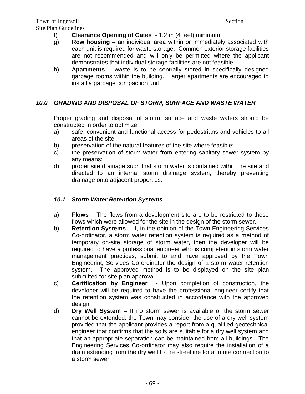- f) **Clearance Opening of Gates**  1.2 m (4 feet) minimum
- g) **Row housing** an individual area within or immediately associated with each unit is required for waste storage. Common exterior storage facilities are not recommended and will only be permitted where the applicant demonstrates that individual storage facilities are not feasible.
- h) **Apartments** waste is to be centrally stored in specifically designed garbage rooms within the building. Larger apartments are encouraged to install a garbage compaction unit.

# <span id="page-27-0"></span>*10.0 GRADING AND DISPOSAL OF STORM, SURFACE AND WASTE WATER*

Proper grading and disposal of storm, surface and waste waters should be constructed in order to optimize:

- a) safe, convenient and functional access for pedestrians and vehicles to all areas of the site;
- b) preservation of the natural features of the site where feasible;
- c) the preservation of storm water from entering sanitary sewer system by any means;
- d) proper site drainage such that storm water is contained within the site and directed to an internal storm drainage system, thereby preventing drainage onto adjacent properties.

# <span id="page-27-1"></span>*10.1 Storm Water Retention Systems*

- a) **Flows** The flows from a development site are to be restricted to those flows which were allowed for the site in the design of the storm sewer.
- b) **Retention Systems** If, in the opinion of the Town Engineering Services Co-ordinator, a storm water retention system is required as a method of temporary on-site storage of storm water, then the developer will be required to have a professional engineer who is competent in storm water management practices, submit to and have approved by the Town Engineering Services Co-ordinator the design of a storm water retention system. The approved method is to be displayed on the site plan submitted for site plan approval.
- c) **Certification by Engineer**  Upon completion of construction, the developer will be required to have the professional engineer certify that the retention system was constructed in accordance with the approved design.
- d) **Dry Well System** If no storm sewer is available or the storm sewer cannot be extended, the Town may consider the use of a dry well system provided that the applicant provides a report from a qualified geotechnical engineer that confirms that the soils are suitable for a dry well system and that an appropriate separation can be maintained from all buildings. The Engineering Services Co-ordinator may also require the installation of a drain extending from the dry well to the streetline for a future connection to a storm sewer.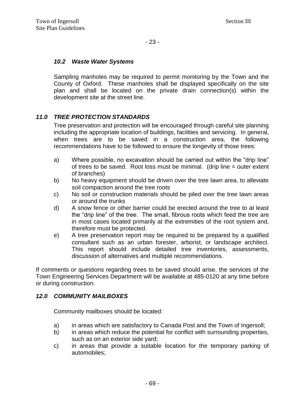## <span id="page-28-0"></span>*10.2 Waste Water Systems*

Sampling manholes may be required to permit monitoring by the Town and the County of Oxford. These manholes shall be displayed specifically on the site plan and shall be located on the private drain connection(s) within the development site at the street line.

# <span id="page-28-1"></span>*11.0 TREE PROTECTION STANDARDS*

Tree preservation and protection will be encouraged through careful site planning including the appropriate location of buildings, facilities and servicing. In general, when trees are to be saved in a construction area, the following recommendations have to be followed to ensure the longevity of those trees:

- a) Where possible, no excavation should be carried out within the "drip line" of trees to be saved. Root loss must be minimal. (drip line = outer extent of branches)
- b) No heavy equipment should be driven over the tree lawn area, to alleviate soil compaction around the tree roots
- c) No soil or construction materials should be piled over the tree lawn areas or around the trunks
- d) A snow fence or other barrier could be erected around the tree to at least the "drip line" of the tree. The small, fibrous roots which feed the tree are in most cases located primarily at the extremities of the root system and, therefore must be protected.
- e) A tree preservation report may be required to be prepared by a qualified consultant such as an urban forester, arborist, or landscape architect. This report should include detailed tree inventories, assessments, discussion of alternatives and multiple recommendations.

If comments or questions regarding trees to be saved should arise, the services of the Town Engineering Services Department will be available at 485-0120 at any time before or during construction.

#### <span id="page-28-2"></span>*12.0 COMMUNITY MAILBOXES*

Community mailboxes should be located:

- a) in areas which are satisfactory to Canada Post and the Town of Ingersoll;
- b) in areas which reduce the potential for conflict with surrounding properties, such as on an exterior side yard;
- c) in areas that provide a suitable location for the temporary parking of automobiles;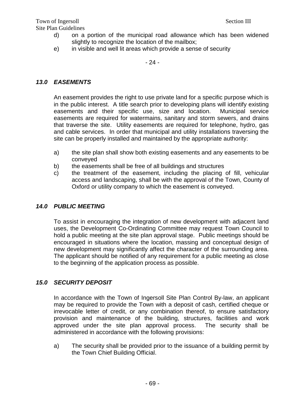- d) on a portion of the municipal road allowance which has been widened slightly to recognize the location of the mailbox;
- e) in visible and well lit areas which provide a sense of security

#### - 24 -

# <span id="page-29-0"></span>*13.0 EASEMENTS*

An easement provides the right to use private land for a specific purpose which is in the public interest. A title search prior to developing plans will identify existing easements and their specific use, size and location. Municipal service easements are required for watermains, sanitary and storm sewers, and drains that traverse the site. Utility easements are required for telephone, hydro, gas and cable services. In order that municipal and utility installations traversing the site can be properly installed and maintained by the appropriate authority:

- a) the site plan shall show both existing easements and any easements to be conveyed
- b) the easements shall be free of all buildings and structures
- c) the treatment of the easement, including the placing of fill, vehicular access and landscaping, shall be with the approval of the Town, County of Oxford or utility company to which the easement is conveyed.

# <span id="page-29-1"></span>*14.0 PUBLIC MEETING*

To assist in encouraging the integration of new development with adjacent land uses, the Development Co-Ordinating Committee may request Town Council to hold a public meeting at the site plan approval stage. Public meetings should be encouraged in situations where the location, massing and conceptual design of new development may significantly affect the character of the surrounding area. The applicant should be notified of any requirement for a public meeting as close to the beginning of the application process as possible.

# <span id="page-29-2"></span>*15.0 SECURITY DEPOSIT*

In accordance with the Town of Ingersoll Site Plan Control By-law, an applicant may be required to provide the Town with a deposit of cash, certified cheque or irrevocable letter of credit, or any combination thereof, to ensure satisfactory provision and maintenance of the building, structures, facilities and work approved under the site plan approval process. The security shall be administered in accordance with the following provisions:

a) The security shall be provided prior to the issuance of a building permit by the Town Chief Building Official.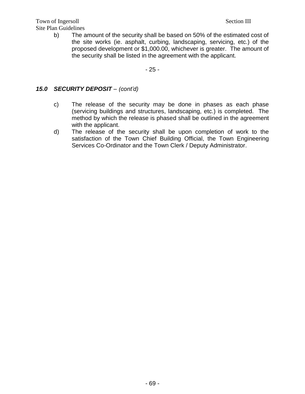Town of Ingersoll Section III Site Plan Guidelines

b) The amount of the security shall be based on 50% of the estimated cost of the site works (ie. asphalt, curbing, landscaping, servicing, etc.) of the proposed development or \$1,000.00, whichever is greater. The amount of the security shall be listed in the agreement with the applicant.

- 25 -

## *15.0 SECURITY DEPOSIT – (cont'd)*

- c) The release of the security may be done in phases as each phase (servicing buildings and structures, landscaping, etc.) is completed. The method by which the release is phased shall be outlined in the agreement with the applicant.
- d) The release of the security shall be upon completion of work to the satisfaction of the Town Chief Building Official, the Town Engineering Services Co-Ordinator and the Town Clerk / Deputy Administrator.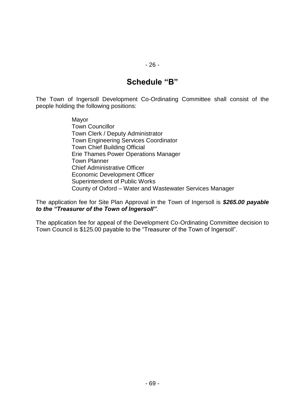# **Schedule "B"**

The Town of Ingersoll Development Co-Ordinating Committee shall consist of the people holding the following positions:

> Mayor Town Councillor Town Clerk / Deputy Administrator Town Engineering Services Coordinator Town Chief Building Official Erie Thames Power Operations Manager Town Planner Chief Administrative Officer Economic Development Officer Superintendent of Public Works County of Oxford – Water and Wastewater Services Manager

The application fee for Site Plan Approval in the Town of Ingersoll is *\$265.00 payable to the "Treasurer of the Town of Ingersoll"*.

The application fee for appeal of the Development Co-Ordinating Committee decision to Town Council is \$125.00 payable to the "Treasurer of the Town of Ingersoll".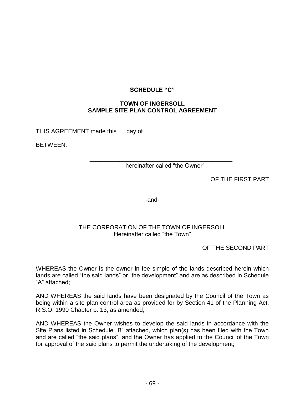#### **SCHEDULE "C"**

#### **TOWN OF INGERSOLL SAMPLE SITE PLAN CONTROL AGREEMENT**

THIS AGREEMENT made this day of

BETWEEN:

\_\_\_\_\_\_\_\_\_\_\_\_\_\_\_\_\_\_\_\_\_\_\_\_\_\_\_\_\_\_\_\_\_\_\_\_\_\_\_\_\_\_\_ hereinafter called "the Owner"

OF THE FIRST PART

-and-

#### THE CORPORATION OF THE TOWN OF INGERSOLL Hereinafter called "the Town"

OF THE SECOND PART

WHEREAS the Owner is the owner in fee simple of the lands described herein which lands are called "the said lands" or "the development" and are as described in Schedule "A" attached;

AND WHEREAS the said lands have been designated by the Council of the Town as being within a site plan control area as provided for by Section 41 of the Planning Act, R.S.O. 1990 Chapter p. 13, as amended;

AND WHEREAS the Owner wishes to develop the said lands in accordance with the Site Plans listed in Schedule "B" attached, which plan(s) has been filed with the Town and are called "the said plans", and the Owner has applied to the Council of the Town for approval of the said plans to permit the undertaking of the development;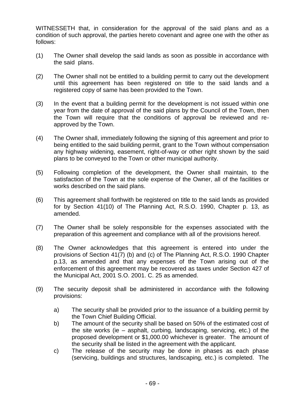WITNESSETH that, in consideration for the approval of the said plans and as a condition of such approval, the parties hereto covenant and agree one with the other as follows:

- (1) The Owner shall develop the said lands as soon as possible in accordance with the said plans.
- (2) The Owner shall not be entitled to a building permit to carry out the development until this agreement has been registered on title to the said lands and a registered copy of same has been provided to the Town.
- (3) In the event that a building permit for the development is not issued within one year from the date of approval of the said plans by the Council of the Town, then the Town will require that the conditions of approval be reviewed and reapproved by the Town.
- (4) The Owner shall, immediately following the signing of this agreement and prior to being entitled to the said building permit, grant to the Town without compensation any highway widening, easement, right-of-way or other right shown by the said plans to be conveyed to the Town or other municipal authority.
- (5) Following completion of the development, the Owner shall maintain, to the satisfaction of the Town at the sole expense of the Owner, all of the facilities or works described on the said plans.
- (6) This agreement shall forthwith be registered on title to the said lands as provided for by Section 41(10) of The Planning Act, R.S.O. 1990, Chapter p. 13, as amended.
- (7) The Owner shall be solely responsible for the expenses associated with the preparation of this agreement and compliance with all of the provisions hereof.
- (8) The Owner acknowledges that this agreement is entered into under the provisions of Section 41(7) (b) and (c) of The Planning Act, R.S.O. 1990 Chapter p.13, as amended and that any expenses of the Town arising out of the enforcement of this agreement may be recovered as taxes under Section 427 of the Municipal Act, 2001 S.O. 2001. C. 25 as amended.
- (9) The security deposit shall be administered in accordance with the following provisions:
	- a) The security shall be provided prior to the issuance of a building permit by the Town Chief Building Official.
	- b) The amount of the security shall be based on 50% of the estimated cost of the site works (ie – asphalt, curbing, landscaping, servicing, etc.) of the proposed development or \$1,000.00 whichever is greater. The amount of the security shall be listed in the agreement with the applicant.
	- c) The release of the security may be done in phases as each phase (servicing, buildings and structures, landscaping, etc.) is completed. The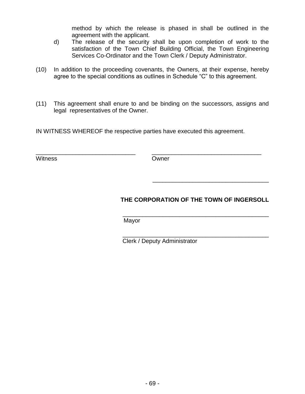method by which the release is phased in shall be outlined in the agreement with the applicant.

- d) The release of the security shall be upon completion of work to the satisfaction of the Town Chief Building Official, the Town Engineering Services Co-Ordinator and the Town Clerk / Deputy Administrator.
- (10) In addition to the proceeding covenants, the Owners, at their expense, hereby agree to the special conditions as outlines in Schedule "C" to this agreement.
- (11) This agreement shall enure to and be binding on the successors, assigns and legal representatives of the Owner.

IN WITNESS WHEREOF the respective parties have executed this agreement.

\_\_\_\_\_\_\_\_\_\_\_\_\_\_\_\_\_\_\_\_\_\_\_\_\_\_\_\_\_\_ \_\_\_\_\_\_\_\_\_\_\_\_\_\_\_\_\_\_\_\_\_\_\_\_\_\_\_\_\_\_\_\_\_

Witness **Owner** 

# **THE CORPORATION OF THE TOWN OF INGERSOLL**

\_\_\_\_\_\_\_\_\_\_\_\_\_\_\_\_\_\_\_\_\_\_\_\_\_\_\_\_\_\_\_\_\_\_\_\_\_\_\_\_\_\_\_\_

\_\_\_\_\_\_\_\_\_\_\_\_\_\_\_\_\_\_\_\_\_\_\_\_\_\_\_\_\_\_\_\_\_\_\_

 \_\_\_\_\_\_\_\_\_\_\_\_\_\_\_\_\_\_\_\_\_\_\_\_\_\_\_\_\_\_\_\_\_\_\_\_\_\_\_\_\_\_\_\_ Mayor

Clerk / Deputy Administrator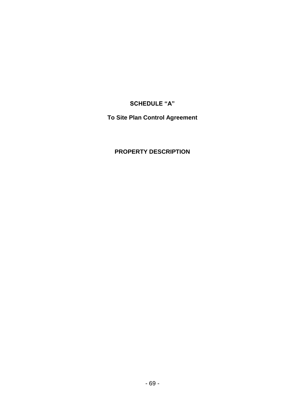# **SCHEDULE "A"**

**To Site Plan Control Agreement**

# **PROPERTY DESCRIPTION**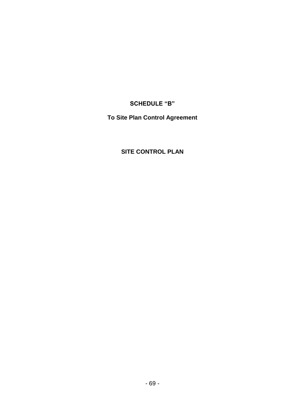**SCHEDULE "B"**

**To Site Plan Control Agreement**

# **SITE CONTROL PLAN**